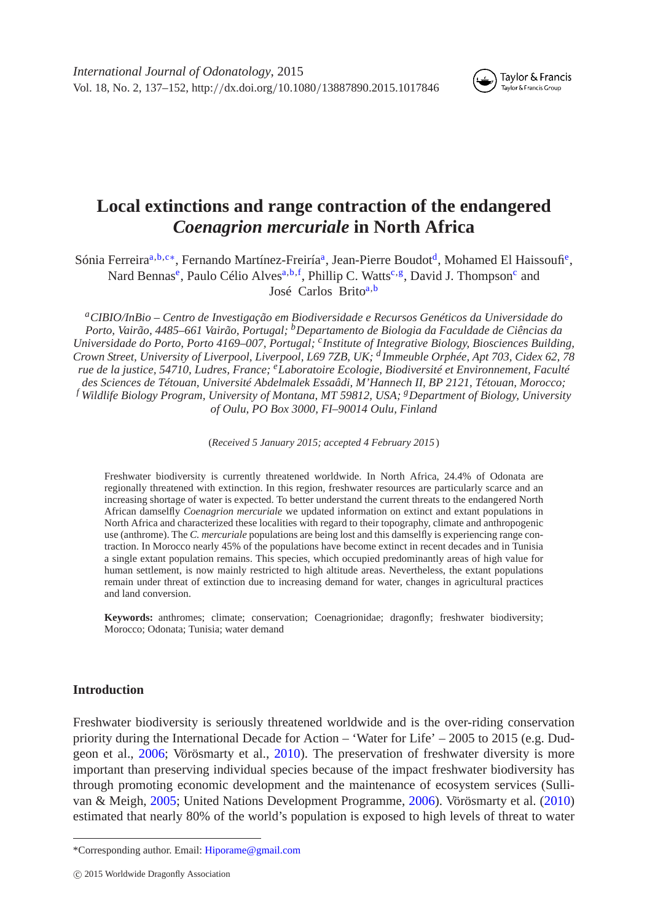

Taylor & Francis Taylor & Francis Group

# **Local extinctions and range contraction of the endangered** *Coenagrion mercuriale* **in North Africa**

Sónia Ferreira<sup>a,[b,](#page-0-1)[c](#page-0-2)[∗](#page-0-3)</sup>, Fernando Martínez-Freiríaª, Jean-Pierre Boudot<sup>d</sup>, Mohamed El Haissoufi<sup>e</sup>, Nard Bennas<sup>e</sup>, Paulo Célio Alves<sup>[a,](#page-0-0) [b,](#page-0-1) [f](#page-0-6)</sup>, Phillip C. Watts<sup>[c,](#page-0-2) g</sup>, David J. Thompson<sup>c</sup> and José Carlos Brito<sup>a,[b](#page-0-1)</sup>

<span id="page-0-0"></span>*aCIBIO/InBio – Centro de Investigação em Biodiversidade e Recursos Genéticos da Universidade do Porto, Vairão, 4485–661 Vairão, Portugal; bDepartamento de Biologia da Faculdade de Ciências da Universidade do Porto, Porto 4169–007, Portugal; cInstitute of Integrative Biology, Biosciences Building, Crown Street, University of Liverpool, Liverpool, L69 7ZB, UK; <sup>d</sup> Immeuble Orphée, Apt 703, Cidex 62, 78 rue de la justice, 54710, Ludres, France; eLaboratoire Ecologie, Biodiversité et Environnement, Faculté des Sciences de Tétouan, Université Abdelmalek Essaâdi, M'Hannech II, BP 2121, Tétouan, Morocco; <sup>f</sup> Wildlife Biology Program, University of Montana, MT 59812, USA; gDepartment of Biology, University of Oulu, PO Box 3000, FI–90014 Oulu, Finland*

<span id="page-0-7"></span><span id="page-0-5"></span><span id="page-0-4"></span><span id="page-0-2"></span><span id="page-0-1"></span>(*Received 5 January 2015; accepted 4 February 2015* )

<span id="page-0-6"></span>Freshwater biodiversity is currently threatened worldwide. In North Africa, 24.4% of Odonata are regionally threatened with extinction. In this region, freshwater resources are particularly scarce and an increasing shortage of water is expected. To better understand the current threats to the endangered North African damselfly *Coenagrion mercuriale* we updated information on extinct and extant populations in North Africa and characterized these localities with regard to their topography, climate and anthropogenic use (anthrome). The *C. mercuriale* populations are being lost and this damselfly is experiencing range contraction. In Morocco nearly 45% of the populations have become extinct in recent decades and in Tunisia a single extant population remains. This species, which occupied predominantly areas of high value for human settlement, is now mainly restricted to high altitude areas. Nevertheless, the extant populations remain under threat of extinction due to increasing demand for water, changes in agricultural practices and land conversion.

**Keywords:** anthromes; climate; conservation; Coenagrionidae; dragonfly; freshwater biodiversity; Morocco; Odonata; Tunisia; water demand

# **Introduction**

Freshwater biodiversity is seriously threatened worldwide and is the over-riding conservation priority during the International Decade for Action – 'Water for Life' – 2005 to 2015 (e.g. Dudgeon et al., [2006;](#page-13-0) Vörösmarty et al., [2010\)](#page-15-0). The preservation of freshwater diversity is more important than preserving individual species because of the impact freshwater biodiversity has through promoting economic development and the maintenance of ecosystem services (Sullivan & Meigh, [2005;](#page-15-1) United Nations Development Programme, [2006\)](#page-15-2). Vörösmarty et al. [\(2010\)](#page-15-0) estimated that nearly 80% of the world's population is exposed to high levels of threat to water

<span id="page-0-3"></span><sup>\*</sup>Corresponding author. Email: [Hiporame@gmail.com](mailto:Hiporame@gmail.com)

c 2015 Worldwide Dragonfly Association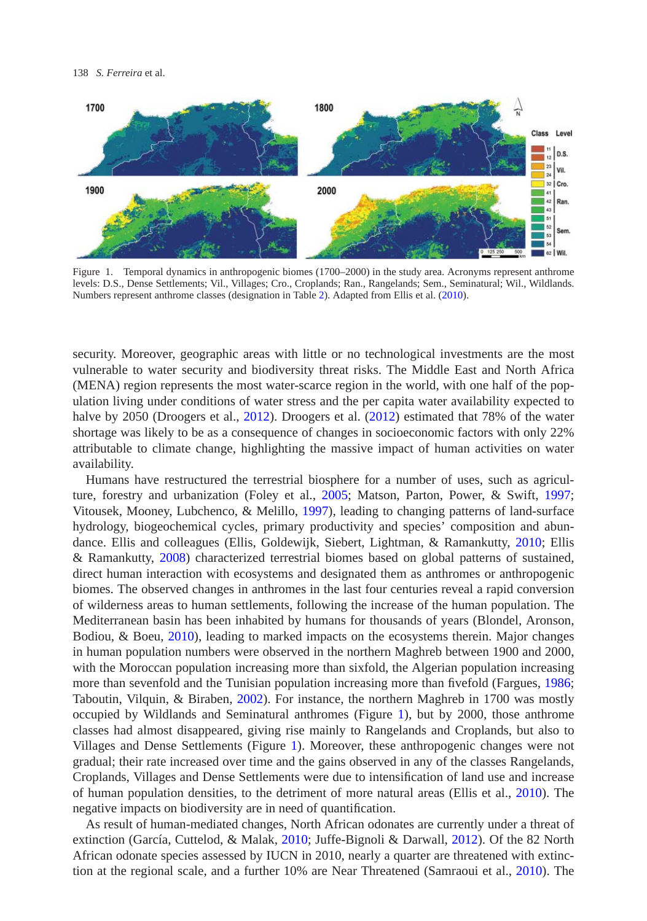

<span id="page-1-0"></span>Figure 1. Temporal dynamics in anthropogenic biomes (1700–2000) in the study area. Acronyms represent anthrome levels: D.S., Dense Settlements; Vil., Villages; Cro., Croplands; Ran., Rangelands; Sem., Seminatural; Wil., Wildlands. Numbers represent anthrome classes (designation in Table [2\)](#page-6-0). Adapted from Ellis et al. [\(2010\)](#page-14-0).

security. Moreover, geographic areas with little or no technological investments are the most vulnerable to water security and biodiversity threat risks. The Middle East and North Africa (MENA) region represents the most water-scarce region in the world, with one half of the population living under conditions of water stress and the per capita water availability expected to halve by 2050 (Droogers et al., [2012\)](#page-13-1). Droogers et al. [\(2012\)](#page-13-1) estimated that 78% of the water shortage was likely to be as a consequence of changes in socioeconomic factors with only 22% attributable to climate change, highlighting the massive impact of human activities on water availability.

Humans have restructured the terrestrial biosphere for a number of uses, such as agriculture, forestry and urbanization (Foley et al., [2005;](#page-14-1) Matson, Parton, Power, & Swift, [1997;](#page-14-2) Vitousek, Mooney, Lubchenco, & Melillo, [1997\)](#page-15-3), leading to changing patterns of land-surface hydrology, biogeochemical cycles, primary productivity and species' composition and abundance. Ellis and colleagues (Ellis, Goldewijk, Siebert, Lightman, & Ramankutty, [2010;](#page-14-0) Ellis & Ramankutty, [2008\)](#page-14-3) characterized terrestrial biomes based on global patterns of sustained, direct human interaction with ecosystems and designated them as anthromes or anthropogenic biomes. The observed changes in anthromes in the last four centuries reveal a rapid conversion of wilderness areas to human settlements, following the increase of the human population. The Mediterranean basin has been inhabited by humans for thousands of years (Blondel, Aronson, Bodiou, & Boeu, [2010\)](#page-13-2), leading to marked impacts on the ecosystems therein. Major changes in human population numbers were observed in the northern Maghreb between 1900 and 2000, with the Moroccan population increasing more than sixfold, the Algerian population increasing more than sevenfold and the Tunisian population increasing more than fivefold (Fargues, [1986;](#page-14-4) Taboutin, Vilquin, & Biraben, [2002\)](#page-15-4). For instance, the northern Maghreb in 1700 was mostly occupied by Wildlands and Seminatural anthromes (Figure [1\)](#page-1-0), but by 2000, those anthrome classes had almost disappeared, giving rise mainly to Rangelands and Croplands, but also to Villages and Dense Settlements (Figure [1\)](#page-1-0). Moreover, these anthropogenic changes were not gradual; their rate increased over time and the gains observed in any of the classes Rangelands, Croplands, Villages and Dense Settlements were due to intensification of land use and increase of human population densities, to the detriment of more natural areas (Ellis et al., [2010\)](#page-14-0). The negative impacts on biodiversity are in need of quantification.

As result of human-mediated changes, North African odonates are currently under a threat of extinction (García, Cuttelod, & Malak, [2010;](#page-14-5) Juffe-Bignoli & Darwall, [2012\)](#page-14-6). Of the 82 North African odonate species assessed by IUCN in 2010, nearly a quarter are threatened with extinction at the regional scale, and a further 10% are Near Threatened (Samraoui et al., [2010\)](#page-14-7). The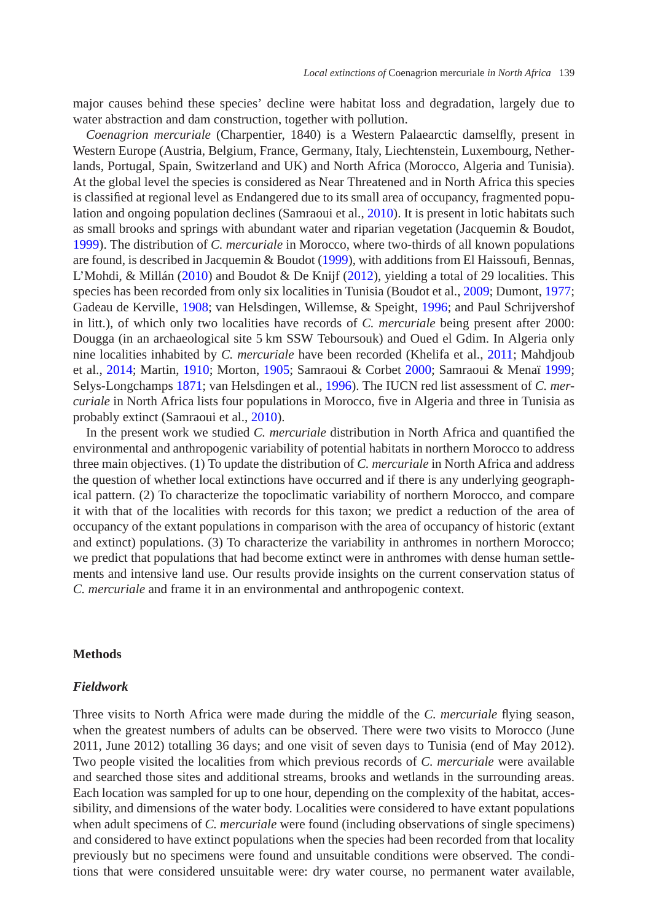major causes behind these species' decline were habitat loss and degradation, largely due to water abstraction and dam construction, together with pollution.

*Coenagrion mercuriale* (Charpentier, 1840) is a Western Palaearctic damselfly, present in Western Europe (Austria, Belgium, France, Germany, Italy, Liechtenstein, Luxembourg, Netherlands, Portugal, Spain, Switzerland and UK) and North Africa (Morocco, Algeria and Tunisia). At the global level the species is considered as Near Threatened and in North Africa this species is classified at regional level as Endangered due to its small area of occupancy, fragmented popu-lation and ongoing population declines (Samraoui et al., [2010\)](#page-14-7). It is present in lotic habitats such as small brooks and springs with abundant water and riparian vegetation (Jacquemin & Boudot, [1999\)](#page-14-8). The distribution of *C. mercuriale* in Morocco, where two-thirds of all known populations are found, is described in Jacquemin & Boudot [\(1999\)](#page-14-8), with additions from El Haissoufi, Bennas, L'Mohdi, & Millán [\(2010\)](#page-13-3) and Boudot & De Knijf [\(2012\)](#page-13-4), yielding a total of 29 localities. This species has been recorded from only six localities in Tunisia (Boudot et al., [2009;](#page-13-5) Dumont, [1977;](#page-13-6) Gadeau de Kerville, [1908;](#page-14-9) van Helsdingen, Willemse, & Speight, [1996;](#page-15-5) and Paul Schrijvershof in litt.), of which only two localities have records of *C. mercuriale* being present after 2000: Dougga (in an archaeological site 5 km SSW Teboursouk) and Oued el Gdim. In Algeria only nine localities inhabited by *C. mercuriale* have been recorded (Khelifa et al., [2011;](#page-14-10) Mahdjoub et al., [2014;](#page-14-11) Martin, [1910;](#page-14-12) Morton, [1905;](#page-14-13) Samraoui & Corbet [2000;](#page-14-14) Samraoui & Menaï [1999;](#page-14-15) Selys-Longchamps [1871;](#page-15-6) van Helsdingen et al., [1996\)](#page-15-5). The IUCN red list assessment of *C. mercuriale* in North Africa lists four populations in Morocco, five in Algeria and three in Tunisia as probably extinct (Samraoui et al., [2010\)](#page-14-7).

In the present work we studied *C. mercuriale* distribution in North Africa and quantified the environmental and anthropogenic variability of potential habitats in northern Morocco to address three main objectives. (1) To update the distribution of *C. mercuriale* in North Africa and address the question of whether local extinctions have occurred and if there is any underlying geographical pattern. (2) To characterize the topoclimatic variability of northern Morocco, and compare it with that of the localities with records for this taxon; we predict a reduction of the area of occupancy of the extant populations in comparison with the area of occupancy of historic (extant and extinct) populations. (3) To characterize the variability in anthromes in northern Morocco; we predict that populations that had become extinct were in anthromes with dense human settlements and intensive land use. Our results provide insights on the current conservation status of *C. mercuriale* and frame it in an environmental and anthropogenic context.

#### **Methods**

#### *Fieldwork*

Three visits to North Africa were made during the middle of the *C. mercuriale* flying season, when the greatest numbers of adults can be observed. There were two visits to Morocco (June 2011, June 2012) totalling 36 days; and one visit of seven days to Tunisia (end of May 2012). Two people visited the localities from which previous records of *C. mercuriale* were available and searched those sites and additional streams, brooks and wetlands in the surrounding areas. Each location was sampled for up to one hour, depending on the complexity of the habitat, accessibility, and dimensions of the water body. Localities were considered to have extant populations when adult specimens of *C. mercuriale* were found (including observations of single specimens) and considered to have extinct populations when the species had been recorded from that locality previously but no specimens were found and unsuitable conditions were observed. The conditions that were considered unsuitable were: dry water course, no permanent water available,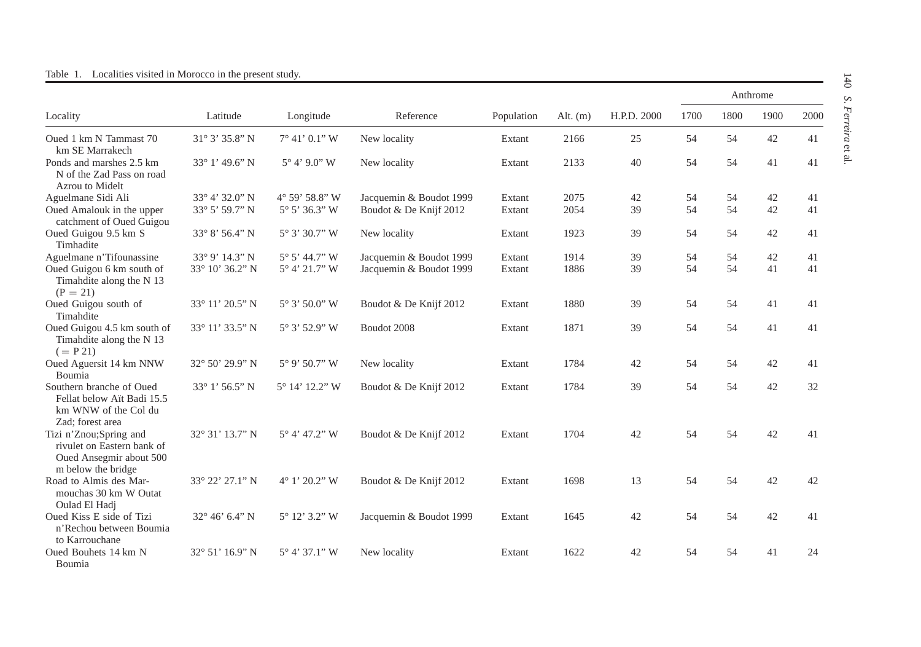<span id="page-3-0"></span>

|                                                                                                       |                         |                         |                         |            |            |             |      |      | Anthrome |      |
|-------------------------------------------------------------------------------------------------------|-------------------------|-------------------------|-------------------------|------------|------------|-------------|------|------|----------|------|
| Locality                                                                                              | Latitude                | Longitude               | Reference               | Population | Alt. $(m)$ | H.P.D. 2000 | 1700 | 1800 | 1900     | 2000 |
| Oued 1 km N Tammast 70<br>km SE Marrakech                                                             | $31^{\circ}3'35.8"N$    | $7^{\circ}$ 41' 0.1" W  | New locality            | Extant     | 2166       | 25          | 54   | 54   | 42       | 41   |
| Ponds and marshes 2.5 km<br>N of the Zad Pass on road<br>Azrou to Midelt                              | 33° 1' 49.6" N          | $5^{\circ}$ 4' 9.0" W   | New locality            | Extant     | 2133       | 40          | 54   | 54   | 41       | 41   |
| Aguelmane Sidi Ali                                                                                    | 33° 4' 32.0" N          | 4° 59' 58.8" W          | Jacquemin & Boudot 1999 | Extant     | 2075       | 42          | 54   | 54   | 42       | 41   |
| Oued Amalouk in the upper<br>catchment of Oued Guigou                                                 | 33° 5' 59.7" N          | $5^{\circ} 5' 36.3'' W$ | Boudot & De Knijf 2012  | Extant     | 2054       | 39          | 54   | 54   | 42       | 41   |
| Oued Guigou 9.5 km S<br>Timhadite                                                                     | 33° 8' 56.4" N          | 5° 3' 30.7" W           | New locality            | Extant     | 1923       | 39          | 54   | 54   | 42       | 41   |
| Aguelmane n'Tifounassine                                                                              | 33° 9' 14.3" N          | 5° 5' 44.7" W           | Jacquemin & Boudot 1999 | Extant     | 1914       | 39          | 54   | 54   | 42       | 41   |
| Oued Guigou 6 km south of<br>Timahdite along the N 13<br>$(P = 21)$                                   | 33° 10' 36.2" N         | 5° 4' 21.7" W           | Jacquemin & Boudot 1999 | Extant     | 1886       | 39          | 54   | 54   | 41       | 41   |
| Oued Guigou south of<br>Timahdite                                                                     | 33° 11' 20.5" N         | $5^{\circ}3'$ 50.0" W   | Boudot & De Knijf 2012  | Extant     | 1880       | 39          | 54   | 54   | 41       | 41   |
| Oued Guigou 4.5 km south of<br>Timahdite along the N 13<br>$(= P 21)$                                 | 33° 11' 33.5" N         | 5° 3' 52.9" W           | Boudot 2008             | Extant     | 1871       | 39          | 54   | 54   | 41       | 41   |
| Oued Aguersit 14 km NNW<br>Boumia                                                                     | 32° 50' 29.9" N         | $5^{\circ}$ 9' 50.7" W  | New locality            | Extant     | 1784       | 42          | 54   | 54   | 42       | 41   |
| Southern branche of Oued<br>Fellat below Aït Badi 15.5<br>km WNW of the Col du<br>Zad; forest area    | 33° 1' 56.5" N          | 5° 14' 12.2" W          | Boudot & De Knijf 2012  | Extant     | 1784       | 39          | 54   | 54   | 42       | 32   |
| Tizi n'Znou;Spring and<br>rivulet on Eastern bank of<br>Oued Ansegmir about 500<br>m below the bridge | 32° 31' 13.7" N         | $5^{\circ}$ 4' 47.2" W  | Boudot & De Knijf 2012  | Extant     | 1704       | 42          | 54   | 54   | 42       | 41   |
| Road to Almis des Mar-<br>mouchas 30 km W Outat<br>Oulad El Hadj                                      | 33° 22' 27.1" N         | 4° 1' 20.2" W           | Boudot & De Knijf 2012  | Extant     | 1698       | 13          | 54   | 54   | 42       | 42   |
| Oued Kiss E side of Tizi<br>n'Rechou between Boumia<br>to Karrouchane                                 | $32^{\circ}$ 46' 6.4" N | $5^{\circ}$ 12' 3.2" W  | Jacquemin & Boudot 1999 | Extant     | 1645       | 42          | 54   | 54   | 42       | 41   |
| Oued Bouhets 14 km N<br><b>Boumia</b>                                                                 | 32° 51' 16.9" N         | $5^{\circ}$ 4' 37.1" W  | New locality            | Extant     | 1622       | 42          | 54   | 54   | 41       | 24   |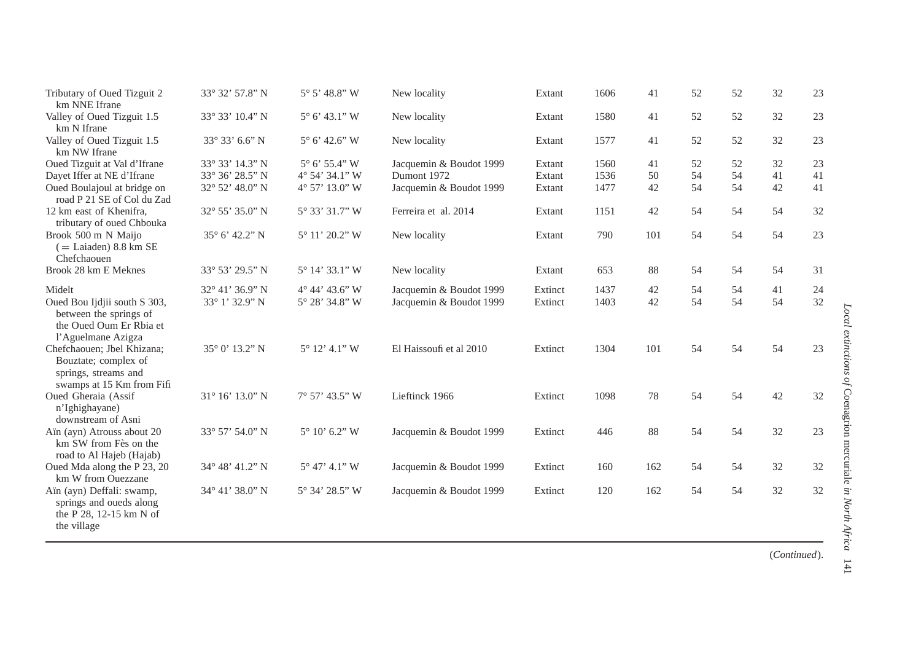| Tributary of Oued Tizguit 2<br>km NNE Ifrane                                                            | 33° 32' 57.8" N            | $5^{\circ} 5' 48.8'' W$ | New locality            | Extant  | 1606 | 41  | 52  | 52 | 32 | 23 |
|---------------------------------------------------------------------------------------------------------|----------------------------|-------------------------|-------------------------|---------|------|-----|-----|----|----|----|
| Valley of Oued Tizguit 1.5<br>km N Ifrane                                                               | 33° 33' 10.4" N            | $5^{\circ}$ 6' 43.1" W  | New locality            | Extant  | 1580 | 41  | 52  | 52 | 32 | 23 |
| Valley of Oued Tizguit 1.5<br>km NW Ifrane                                                              | $33^{\circ} 33' 6.6'' N$   | $5^{\circ}$ 6' 42.6" W  | New locality            | Extant  | 1577 | 41  | 52  | 52 | 32 | 23 |
| Oued Tizguit at Val d'Ifrane                                                                            | 33° 33' 14.3" N            | $5^{\circ}$ 6' 55.4" W  | Jacquemin & Boudot 1999 | Extant  | 1560 | 41  | 52  | 52 | 32 | 23 |
| Dayet Iffer at NE d'Ifrane                                                                              | 33° 36' 28.5" N            | 4° 54' 34.1" W          | Dumont 1972             | Extant  | 1536 | 50  | 54  | 54 | 41 | 41 |
| Oued Boulajoul at bridge on<br>road P 21 SE of Col du Zad                                               | 32° 52' 48.0" N            | 4° 57' 13.0" W          | Jacquemin & Boudot 1999 | Extant  | 1477 | 42  | 54  | 54 | 42 | 41 |
| 12 km east of Khenifra.<br>tributary of oued Chbouka                                                    | 32° 55' 35.0" N            | 5° 33' 31.7" W          | Ferreira et al. 2014    | Extant  | 1151 | 42  | 54  | 54 | 54 | 32 |
| Brook 500 m N Maijo<br>$($ = Laiaden) 8.8 km SE<br>Chefchaouen                                          | 35° 6' 42.2" N             | 5° 11' 20.2" W          | New locality            | Extant  | 790  | 101 | 54  | 54 | 54 | 23 |
| Brook 28 km E Meknes                                                                                    | 33° 53' 29.5" N            | $5^{\circ}$ 14' 33.1" W | New locality            | Extant  | 653  | 88  | .54 | 54 | 54 | 31 |
| Midelt                                                                                                  | 32° 41' 36.9" N            | $4^{\circ}$ 44' 43.6" W | Jacquemin & Boudot 1999 | Extinct | 1437 | 42  | 54  | 54 | 41 | 24 |
| Oued Bou Ijdjii south S 303,<br>between the springs of<br>the Oued Oum Er Rbia et<br>l'Aguelmane Azigza | 33° 1' 32.9" N             | 5° 28' 34.8" W          | Jacquemin & Boudot 1999 | Extinct | 1403 | 42  | 54  | 54 | 54 | 32 |
| Chefchaouen; Jbel Khizana;<br>Bouztate; complex of<br>springs, streams and<br>swamps at 15 Km from Fifi | $35^{\circ}$ 0' $13.2$ " N | $5^{\circ}$ 12' 4.1" W  | El Haissoufi et al 2010 | Extinct | 1304 | 101 | 54  | 54 | 54 | 23 |
| Oued Gheraia (Assif<br>n'Ighighayane)<br>downstream of Asni                                             | $31^{\circ}$ 16' 13.0" N   | $7^{\circ}$ 57' 43.5" W | Lieftinck 1966          | Extinct | 1098 | 78  | 54  | 54 | 42 | 32 |
| Aïn (ayn) Atrouss about 20<br>km SW from Fès on the<br>road to Al Hajeb (Hajab)                         | 33° 57' 54.0" N            | $5^{\circ}$ 10' 6.2" W  | Jacquemin & Boudot 1999 | Extinct | 446  | 88  | 54  | 54 | 32 | 23 |
| Oued Mda along the P 23, 20<br>km W from Ouezzane                                                       | 34° 48' 41.2" N            | $5^{\circ}$ 47' 4.1" W  | Jacquemin & Boudot 1999 | Extinct | 160  | 162 | 54  | 54 | 32 | 32 |
| Aïn (ayn) Deffali: swamp,<br>springs and oueds along<br>the P 28, 12-15 km N of<br>the village          | 34° 41' 38.0" N            | 5° 34' 28.5" W          | Jacquemin & Boudot 1999 | Extinct | 120  | 162 | 54  | 54 | 32 | 32 |

(*Continued*).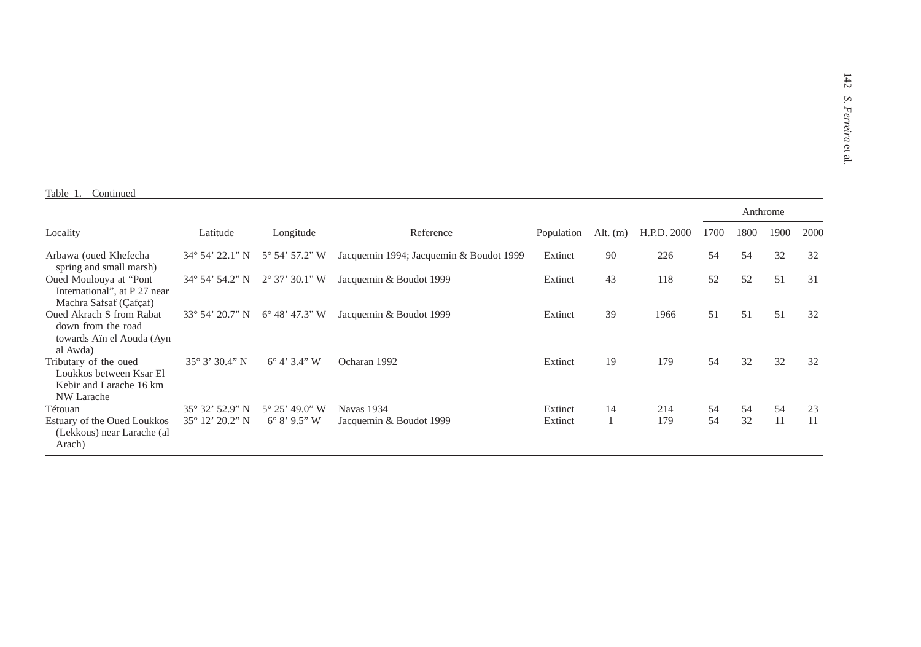#### Table 1. Continued

|                                                                                                |                                                       |                                                    |                                         |                    |            |             |          |          | Anthrome |          |
|------------------------------------------------------------------------------------------------|-------------------------------------------------------|----------------------------------------------------|-----------------------------------------|--------------------|------------|-------------|----------|----------|----------|----------|
| Locality                                                                                       | Latitude                                              | Longitude                                          | Reference                               | Population         | Alt. $(m)$ | H.P.D. 2000 | 1700     | 1800     | 1900     | 2000     |
| Arbawa (oued Khefecha<br>spring and small marsh)                                               | 34° 54' 22.1" N                                       | $5^{\circ}$ 54' 57.2" W                            | Jacquemin 1994; Jacquemin & Boudot 1999 | Extinct            | 90         | 226         | 54       | 54       | 32       | 32       |
| Oued Moulouya at "Pont<br>International", at P 27 near<br>Machra Safsaf (Çafçaf)               | $34^{\circ}$ 54' 54.2" N                              | $2^{\circ}$ 37' 30.1" W                            | Jacquemin & Boudot 1999                 | Extinct            | 43         | 118         | 52       | 52       | 51       | 31       |
| <b>Oued Akrach S from Rabat</b><br>down from the road<br>towards Aïn el Aouda (Ayn<br>al Awda) | $33^{\circ} 54' 20.7'' N$                             | $6^{\circ}$ 48' 47.3" W                            | Jacquemin & Boudot 1999                 | Extinct            | 39         | 1966        | 51       | 51       | 51       | 32       |
| Tributary of the oued<br>Loukkos between Ksar El<br>Kebir and Larache 16 km<br>NW Larache      | $35^{\circ}3'30.4"$ N                                 | $6^{\circ}$ 4' 3.4" W                              | Ocharan 1992                            | Extinct            | 19         | 179         | 54       | 32       | 32       | 32       |
| Tétouan<br>Estuary of the Oued Loukkos<br>(Lekkous) near Larache (al<br>Arach)                 | $35^{\circ} 32' 52.9'' N$<br>$35^{\circ}$ 12' 20.2" N | $5^{\circ} 25' 49.0''$ W<br>$6^{\circ} 8' 9.5'' W$ | Navas 1934<br>Jacquemin & Boudot 1999   | Extinct<br>Extinct | 14         | 214<br>179  | 54<br>54 | 54<br>32 | 54<br>11 | 23<br>11 |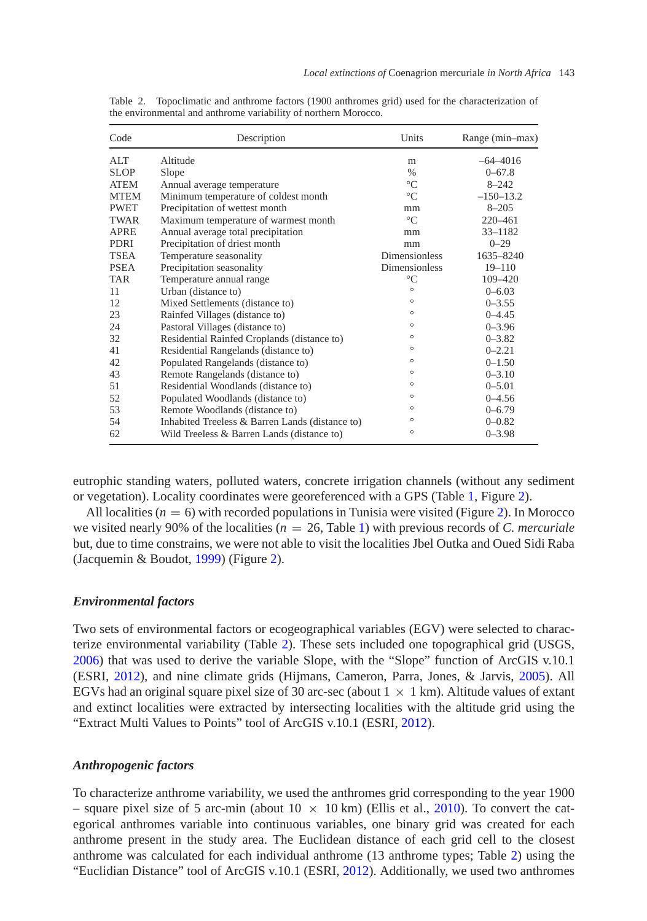| Code        | Description                                     | Units                | Range (min-max) |
|-------------|-------------------------------------------------|----------------------|-----------------|
| ATT         | Altitude                                        | m                    | $-64 - 4016$    |
| SLOP.       | Slope                                           | $\%$                 | $0 - 67.8$      |
| <b>ATEM</b> | Annual average temperature                      | $\rm ^{\circ}C$      | $8 - 242$       |
| <b>MTEM</b> | Minimum temperature of coldest month            | $\mathrm{C}$         | $-150-13.2$     |
| <b>PWET</b> | Precipitation of wettest month                  | mm                   | $8 - 205$       |
| TWAR        | Maximum temperature of warmest month            | $\mathrm{C}$         | $220 - 461$     |
| <b>APRE</b> | Annual average total precipitation              | mm                   | $33 - 1182$     |
| <b>PDRI</b> | Precipitation of driest month                   | mm                   | $0 - 29$        |
| <b>TSEA</b> | Temperature seasonality                         | <b>Dimensionless</b> | 1635-8240       |
| <b>PSEA</b> | Precipitation seasonality                       | Dimensionless        | $19 - 110$      |
| TAR         | Temperature annual range                        | $\rm ^{\circ}C$      | 109-420         |
| 11          | Urban (distance to)                             | $\circ$              | $0 - 6.03$      |
| 12          | Mixed Settlements (distance to)                 | $\circ$              | $0 - 3.55$      |
| 23          | Rainfed Villages (distance to)                  | $\circ$              | $0 - 4.45$      |
| 24          | Pastoral Villages (distance to)                 | $\circ$              | $0 - 3.96$      |
| 32          | Residential Rainfed Croplands (distance to)     | $\circ$              | $0 - 3.82$      |
| 41          | Residential Rangelands (distance to)            | $\circ$              | $0 - 2.21$      |
| 42          | Populated Rangelands (distance to)              | $\circ$              | $0 - 1.50$      |
| 43          | Remote Rangelands (distance to)                 | $\circ$              | $0 - 3.10$      |
| 51          | Residential Woodlands (distance to)             | $\circ$              | $0 - 5.01$      |
| 52          | Populated Woodlands (distance to)               | $\circ$              | $0 - 4.56$      |
| 53          | Remote Woodlands (distance to)                  | $\circ$              | $0 - 6.79$      |
| 54          | Inhabited Treeless & Barren Lands (distance to) | $\circ$              | $0 - 0.82$      |
| 62          | Wild Treeless & Barren Lands (distance to)      | $\circ$              | $0 - 3.98$      |

<span id="page-6-0"></span>Table 2. Topoclimatic and anthrome factors (1900 anthromes grid) used for the characterization of the environmental and anthrome variability of northern Morocco.

eutrophic standing waters, polluted waters, concrete irrigation channels (without any sediment or vegetation). Locality coordinates were georeferenced with a GPS (Table [1,](#page-3-0) Figure [2\)](#page-7-0).

All localities  $(n = 6)$  with recorded populations in Tunisia were visited (Figure [2\)](#page-7-0). In Morocco we visited nearly 90% of the localities (*n* = 26, Table [1\)](#page-3-0) with previous records of *C. mercuriale* but, due to time constrains, we were not able to visit the localities Jbel Outka and Oued Sidi Raba (Jacquemin & Boudot, [1999\)](#page-14-8) (Figure [2\)](#page-7-0).

#### *Environmental factors*

Two sets of environmental factors or ecogeographical variables (EGV) were selected to characterize environmental variability (Table [2\)](#page-6-0). These sets included one topographical grid (USGS, [2006\)](#page-15-7) that was used to derive the variable Slope, with the "Slope" function of ArcGIS v.10.1 (ESRI, [2012\)](#page-14-16), and nine climate grids (Hijmans, Cameron, Parra, Jones, & Jarvis, [2005\)](#page-14-17). All EGVs had an original square pixel size of 30 arc-sec (about  $1 \times 1$  km). Altitude values of extant and extinct localities were extracted by intersecting localities with the altitude grid using the "Extract Multi Values to Points" tool of ArcGIS v.10.1 (ESRI, [2012\)](#page-14-16).

# *Anthropogenic factors*

To characterize anthrome variability, we used the anthromes grid corresponding to the year 1900 – square pixel size of 5 arc-min (about  $10 \times 10$  km) (Ellis et al., [2010\)](#page-14-0). To convert the categorical anthromes variable into continuous variables, one binary grid was created for each anthrome present in the study area. The Euclidean distance of each grid cell to the closest anthrome was calculated for each individual anthrome (13 anthrome types; Table [2\)](#page-6-0) using the "Euclidian Distance" tool of ArcGIS v.10.1 (ESRI, [2012\)](#page-14-16). Additionally, we used two anthromes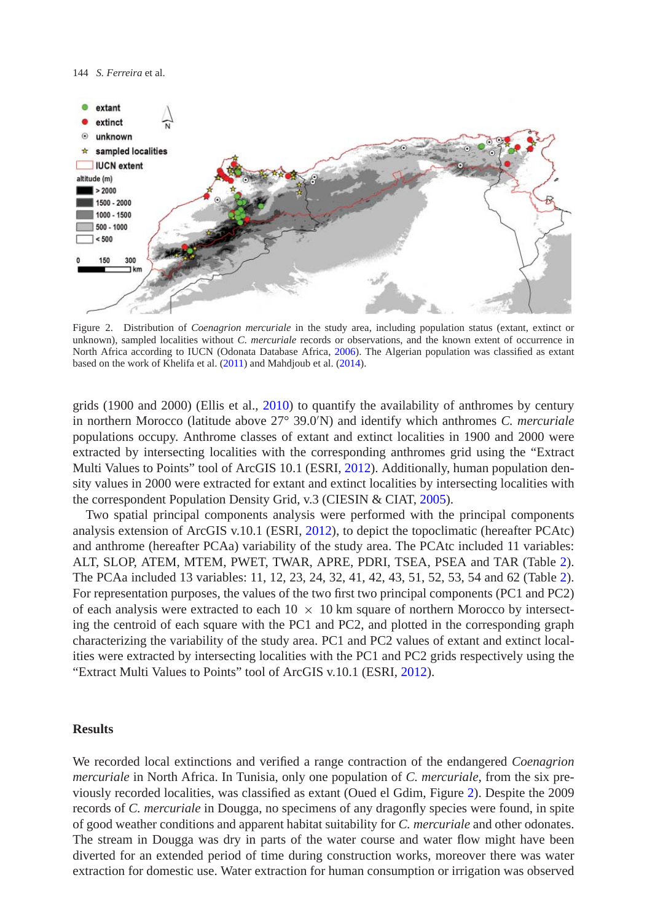

<span id="page-7-0"></span>Figure 2. Distribution of *Coenagrion mercuriale* in the study area, including population status (extant, extinct or unknown), sampled localities without *C. mercuriale* records or observations, and the known extent of occurrence in North Africa according to IUCN (Odonata Database Africa, [2006\)](#page-14-18). The Algerian population was classified as extant based on the work of Khelifa et al. [\(2011\)](#page-14-10) and Mahdjoub et al. [\(2014\)](#page-14-11).

grids (1900 and 2000) (Ellis et al., [2010\)](#page-14-0) to quantify the availability of anthromes by century in northern Morocco (latitude above 27° 39.0 N) and identify which anthromes *C. mercuriale* populations occupy. Anthrome classes of extant and extinct localities in 1900 and 2000 were extracted by intersecting localities with the corresponding anthromes grid using the "Extract Multi Values to Points" tool of ArcGIS 10.1 (ESRI, [2012\)](#page-14-16). Additionally, human population density values in 2000 were extracted for extant and extinct localities by intersecting localities with the correspondent Population Density Grid, v.3 (CIESIN & CIAT, [2005\)](#page-13-7).

Two spatial principal components analysis were performed with the principal components analysis extension of ArcGIS v.10.1 (ESRI, [2012\)](#page-14-16), to depict the topoclimatic (hereafter PCAtc) and anthrome (hereafter PCAa) variability of the study area. The PCAtc included 11 variables: ALT, SLOP, ATEM, MTEM, PWET, TWAR, APRE, PDRI, TSEA, PSEA and TAR (Table [2\)](#page-6-0). The PCAa included 13 variables: 11, 12, 23, 24, 32, 41, 42, 43, 51, 52, 53, 54 and 62 (Table [2\)](#page-6-0). For representation purposes, the values of the two first two principal components (PC1 and PC2) of each analysis were extracted to each  $10 \times 10$  km square of northern Morocco by intersecting the centroid of each square with the PC1 and PC2, and plotted in the corresponding graph characterizing the variability of the study area. PC1 and PC2 values of extant and extinct localities were extracted by intersecting localities with the PC1 and PC2 grids respectively using the "Extract Multi Values to Points" tool of ArcGIS v.10.1 (ESRI, [2012\)](#page-14-16).

# **Results**

We recorded local extinctions and verified a range contraction of the endangered *Coenagrion mercuriale* in North Africa. In Tunisia, only one population of *C. mercuriale*, from the six previously recorded localities, was classified as extant (Oued el Gdim, Figure [2\)](#page-7-0). Despite the 2009 records of *C. mercuriale* in Dougga, no specimens of any dragonfly species were found, in spite of good weather conditions and apparent habitat suitability for *C. mercuriale* and other odonates. The stream in Dougga was dry in parts of the water course and water flow might have been diverted for an extended period of time during construction works, moreover there was water extraction for domestic use. Water extraction for human consumption or irrigation was observed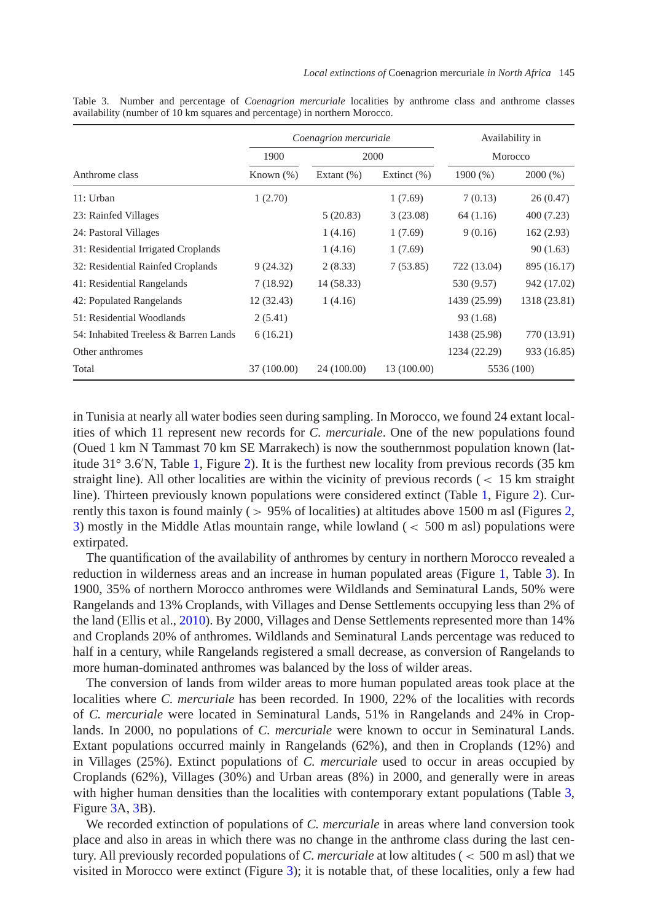|                                       |              | Coenagrion mercuriale | Availability in |              |              |  |
|---------------------------------------|--------------|-----------------------|-----------------|--------------|--------------|--|
|                                       | 1900         |                       | 2000            | Morocco      |              |  |
| Anthrome class                        | Known $(\%)$ | Extant $(\% )$        | Extinct $(\% )$ | 1900 $(\% )$ | 2000(%)      |  |
| 11: Urban                             | 1(2.70)      |                       | 1(7.69)         | 7(0.13)      | 26(0.47)     |  |
| 23: Rainfed Villages                  |              | 5(20.83)              | 3(23.08)        | 64 (1.16)    | 400 (7.23)   |  |
| 24: Pastoral Villages                 |              | 1(4.16)               | 1(7.69)         | 9(0.16)      | 162(2.93)    |  |
| 31: Residential Irrigated Croplands   |              | 1(4.16)               | 1(7.69)         |              | 90(1.63)     |  |
| 32: Residential Rainfed Croplands     | 9(24.32)     | 2(8.33)               | 7(53.85)        | 722 (13.04)  | 895 (16.17)  |  |
| 41: Residential Rangelands            | 7(18.92)     | 14 (58.33)            |                 | 530 (9.57)   | 942 (17.02)  |  |
| 42: Populated Rangelands              | 12(32.43)    | 1(4.16)               |                 | 1439 (25.99) | 1318 (23.81) |  |
| 51: Residential Woodlands             | 2(5.41)      |                       |                 | 93 (1.68)    |              |  |
| 54: Inhabited Treeless & Barren Lands | 6(16.21)     |                       |                 | 1438 (25.98) | 770 (13.91)  |  |
| Other anthromes                       |              |                       |                 | 1234 (22.29) | 933 (16.85)  |  |
| Total                                 | 37 (100.00)  | 24 (100.00)           | 13 (100.00)     |              | 5536 (100)   |  |

<span id="page-8-0"></span>Table 3. Number and percentage of *Coenagrion mercuriale* localities by anthrome class and anthrome classes availability (number of 10 km squares and percentage) in northern Morocco.

in Tunisia at nearly all water bodies seen during sampling. In Morocco, we found 24 extant localities of which 11 represent new records for *C. mercuriale*. One of the new populations found (Oued 1 km N Tammast 70 km SE Marrakech) is now the southernmost population known (latitude 31° 3.6 N, Table [1,](#page-3-0) Figure [2\)](#page-7-0). It is the furthest new locality from previous records (35 km straight line). All other localities are within the vicinity of previous records (*<* 15 km straight line). Thirteen previously known populations were considered extinct (Table [1,](#page-3-0) Figure [2\)](#page-7-0). Currently this taxon is found mainly (*>* 95% of localities) at altitudes above 1500 m asl (Figures [2,](#page-7-0) [3\)](#page-9-0) mostly in the Middle Atlas mountain range, while lowland (*<* 500 m asl) populations were extirpated.

The quantification of the availability of anthromes by century in northern Morocco revealed a reduction in wilderness areas and an increase in human populated areas (Figure [1,](#page-1-0) Table [3\)](#page-8-0). In 1900, 35% of northern Morocco anthromes were Wildlands and Seminatural Lands, 50% were Rangelands and 13% Croplands, with Villages and Dense Settlements occupying less than 2% of the land (Ellis et al., [2010\)](#page-14-0). By 2000, Villages and Dense Settlements represented more than 14% and Croplands 20% of anthromes. Wildlands and Seminatural Lands percentage was reduced to half in a century, while Rangelands registered a small decrease, as conversion of Rangelands to more human-dominated anthromes was balanced by the loss of wilder areas.

The conversion of lands from wilder areas to more human populated areas took place at the localities where *C. mercuriale* has been recorded. In 1900, 22% of the localities with records of *C. mercuriale* were located in Seminatural Lands, 51% in Rangelands and 24% in Croplands. In 2000, no populations of *C. mercuriale* were known to occur in Seminatural Lands. Extant populations occurred mainly in Rangelands (62%), and then in Croplands (12%) and in Villages (25%). Extinct populations of *C. mercuriale* used to occur in areas occupied by Croplands (62%), Villages (30%) and Urban areas (8%) in 2000, and generally were in areas with higher human densities than the localities with contemporary extant populations (Table [3,](#page-8-0) Figure [3A](#page-9-0), [3B](#page-9-0)).

We recorded extinction of populations of *C. mercuriale* in areas where land conversion took place and also in areas in which there was no change in the anthrome class during the last century. All previously recorded populations of *C. mercuriale* at low altitudes (*<* 500 m asl) that we visited in Morocco were extinct (Figure [3\)](#page-9-0); it is notable that, of these localities, only a few had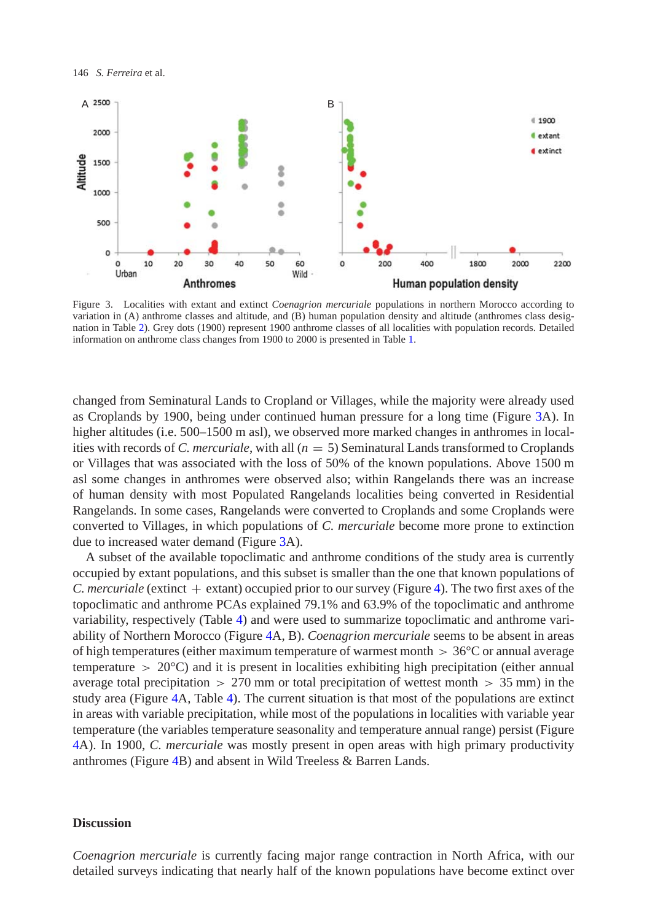

<span id="page-9-0"></span>Figure 3. Localities with extant and extinct *Coenagrion mercuriale* populations in northern Morocco according to variation in (A) anthrome classes and altitude, and (B) human population density and altitude (anthromes class designation in Table [2\)](#page-6-0). Grey dots (1900) represent 1900 anthrome classes of all localities with population records. Detailed information on anthrome class changes from 1900 to 2000 is presented in Table [1.](#page-3-0)

changed from Seminatural Lands to Cropland or Villages, while the majority were already used as Croplands by 1900, being under continued human pressure for a long time (Figure [3A](#page-9-0)). In higher altitudes (i.e. 500–1500 m asl), we observed more marked changes in anthromes in localities with records of *C. mercuriale*, with all  $(n = 5)$  Seminatural Lands transformed to Croplands or Villages that was associated with the loss of 50% of the known populations. Above 1500 m asl some changes in anthromes were observed also; within Rangelands there was an increase of human density with most Populated Rangelands localities being converted in Residential Rangelands. In some cases, Rangelands were converted to Croplands and some Croplands were converted to Villages, in which populations of *C. mercuriale* become more prone to extinction due to increased water demand (Figure [3A](#page-9-0)).

A subset of the available topoclimatic and anthrome conditions of the study area is currently occupied by extant populations, and this subset is smaller than the one that known populations of *C. mercuriale* (extinct  $+$  extant) occupied prior to our survey (Figure [4\)](#page-10-0). The two first axes of the topoclimatic and anthrome PCAs explained 79.1% and 63.9% of the topoclimatic and anthrome variability, respectively (Table [4\)](#page-11-0) and were used to summarize topoclimatic and anthrome variability of Northern Morocco (Figure [4A](#page-10-0), B). *Coenagrion mercuriale* seems to be absent in areas of high temperatures (either maximum temperature of warmest month *>* 36°C or annual average temperature  $> 20^{\circ}$ C) and it is present in localities exhibiting high precipitation (either annual average total precipitation *>* 270 mm or total precipitation of wettest month *>* 35 mm) in the study area (Figure [4A](#page-10-0), Table [4\)](#page-11-0). The current situation is that most of the populations are extinct in areas with variable precipitation, while most of the populations in localities with variable year temperature (the variables temperature seasonality and temperature annual range) persist (Figure [4A](#page-10-0)). In 1900, *C. mercuriale* was mostly present in open areas with high primary productivity anthromes (Figure [4B](#page-10-0)) and absent in Wild Treeless & Barren Lands.

#### **Discussion**

*Coenagrion mercuriale* is currently facing major range contraction in North Africa, with our detailed surveys indicating that nearly half of the known populations have become extinct over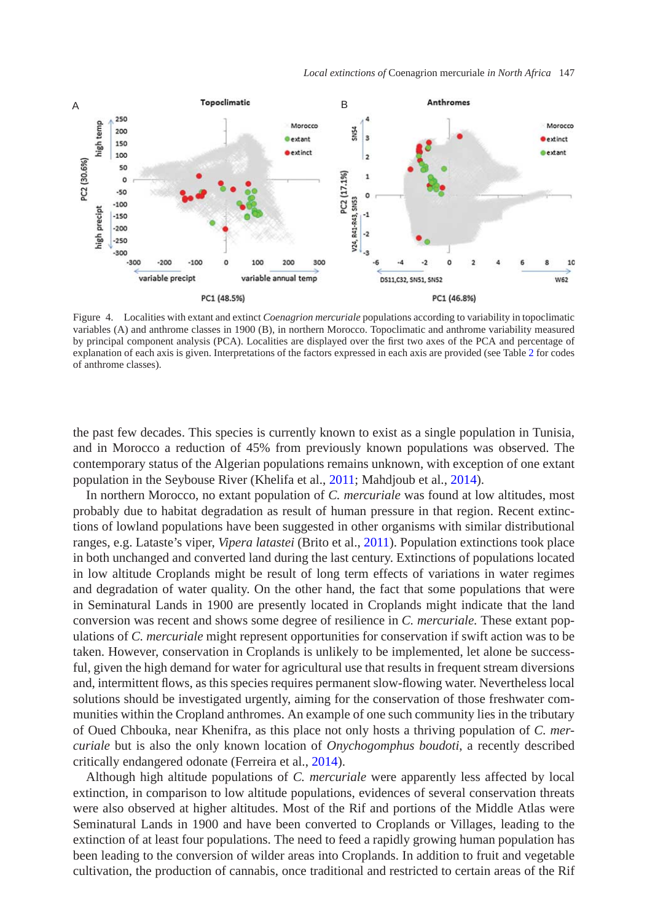

<span id="page-10-0"></span>Figure 4. Localities with extant and extinct *Coenagrion mercuriale* populations according to variability in topoclimatic variables (A) and anthrome classes in 1900 (B), in northern Morocco. Topoclimatic and anthrome variability measured by principal component analysis (PCA). Localities are displayed over the first two axes of the PCA and percentage of explanation of each axis is given. Interpretations of the factors expressed in each axis are provided (see Table [2](#page-6-0) for codes of anthrome classes).

the past few decades. This species is currently known to exist as a single population in Tunisia, and in Morocco a reduction of 45% from previously known populations was observed. The contemporary status of the Algerian populations remains unknown, with exception of one extant population in the Seybouse River (Khelifa et al., [2011;](#page-14-10) Mahdjoub et al., [2014\)](#page-14-11).

In northern Morocco, no extant population of *C. mercuriale* was found at low altitudes, most probably due to habitat degradation as result of human pressure in that region. Recent extinctions of lowland populations have been suggested in other organisms with similar distributional ranges, e.g. Lataste's viper, *Vipera latastei* (Brito et al., [2011\)](#page-13-8). Population extinctions took place in both unchanged and converted land during the last century. Extinctions of populations located in low altitude Croplands might be result of long term effects of variations in water regimes and degradation of water quality. On the other hand, the fact that some populations that were in Seminatural Lands in 1900 are presently located in Croplands might indicate that the land conversion was recent and shows some degree of resilience in *C. mercuriale.* These extant populations of *C. mercuriale* might represent opportunities for conservation if swift action was to be taken. However, conservation in Croplands is unlikely to be implemented, let alone be successful, given the high demand for water for agricultural use that results in frequent stream diversions and, intermittent flows, as this species requires permanent slow-flowing water. Nevertheless local solutions should be investigated urgently, aiming for the conservation of those freshwater communities within the Cropland anthromes. An example of one such community lies in the tributary of Oued Chbouka, near Khenifra, as this place not only hosts a thriving population of *C. mercuriale* but is also the only known location of *Onychogomphus boudoti*, a recently described critically endangered odonate (Ferreira et al., [2014\)](#page-14-19).

Although high altitude populations of *C. mercuriale* were apparently less affected by local extinction, in comparison to low altitude populations, evidences of several conservation threats were also observed at higher altitudes. Most of the Rif and portions of the Middle Atlas were Seminatural Lands in 1900 and have been converted to Croplands or Villages, leading to the extinction of at least four populations. The need to feed a rapidly growing human population has been leading to the conversion of wilder areas into Croplands. In addition to fruit and vegetable cultivation, the production of cannabis, once traditional and restricted to certain areas of the Rif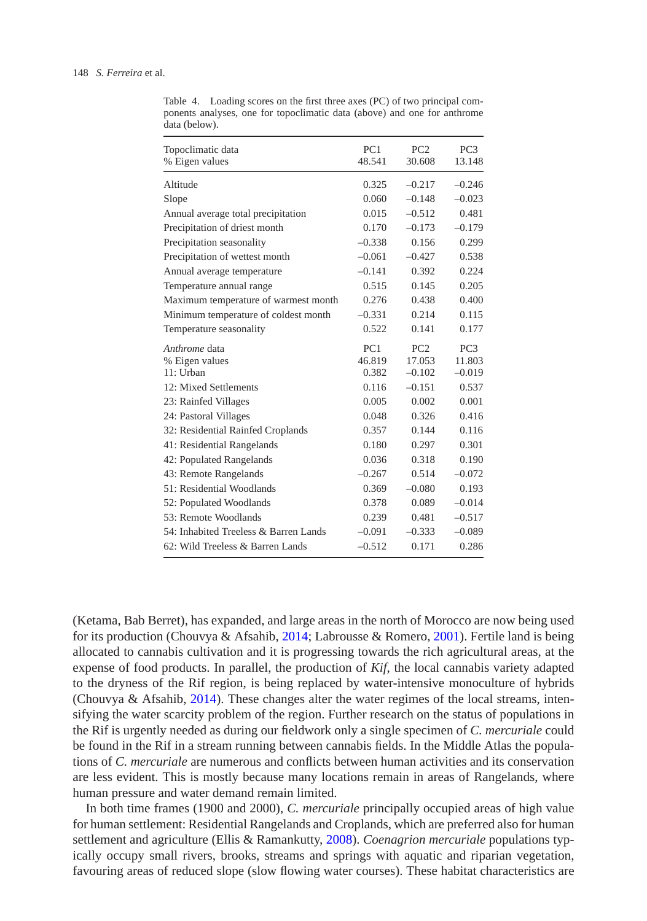| Topoclimatic data                     | PC1      | PC2             | PC <sub>3</sub> |
|---------------------------------------|----------|-----------------|-----------------|
| % Eigen values                        | 48.541   | 30.608          | 13.148          |
| Altitude                              | 0.325    | $-0.217$        | $-0.246$        |
| Slope                                 | 0.060    | $-0.148$        | $-0.023$        |
| Annual average total precipitation    | 0.015    | $-0.512$        | 0.481           |
| Precipitation of driest month         | 0.170    | $-0.173$        | $-0.179$        |
| Precipitation seasonality             | $-0.338$ | 0.156           | 0.299           |
| Precipitation of wettest month        | $-0.061$ | $-0.427$        | 0.538           |
| Annual average temperature            | $-0.141$ | 0.392           | 0.224           |
| Temperature annual range              | 0.515    | 0.145           | 0.205           |
| Maximum temperature of warmest month  | 0.276    | 0.438           | 0.400           |
| Minimum temperature of coldest month  | $-0.331$ | 0.214           | 0.115           |
| Temperature seasonality               | 0.522    | 0.141           | 0.177           |
| Anthrome data                         | PC1      | PC <sub>2</sub> | PC <sub>3</sub> |
| % Eigen values                        | 46.819   | 17.053          | 11.803          |
| 11: Urban                             | 0.382    | $-0.102$        | $-0.019$        |
| 12: Mixed Settlements                 | 0.116    | $-0.151$        | 0.537           |
| 23: Rainfed Villages                  | 0.005    | 0.002           | 0.001           |
| 24: Pastoral Villages                 | 0.048    | 0.326           | 0.416           |
| 32: Residential Rainfed Croplands     | 0.357    | 0.144           | 0.116           |
| 41: Residential Rangelands            | 0.180    | 0.297           | 0.301           |
| 42: Populated Rangelands              | 0.036    | 0.318           | 0.190           |
| 43: Remote Rangelands                 | $-0.267$ | 0.514           | $-0.072$        |
| 51: Residential Woodlands             | 0.369    | $-0.080$        | 0.193           |
| 52: Populated Woodlands               | 0.378    | 0.089           | $-0.014$        |
| 53: Remote Woodlands                  | 0.239    | 0.481           | $-0.517$        |
| 54: Inhabited Treeless & Barren Lands | $-0.091$ | $-0.333$        | $-0.089$        |
| 62: Wild Treeless & Barren Lands      | $-0.512$ | 0.171           | 0.286           |

<span id="page-11-0"></span>Table 4. Loading scores on the first three axes (PC) of two principal components analyses, one for topoclimatic data (above) and one for anthrome data (below).

(Ketama, Bab Berret), has expanded, and large areas in the north of Morocco are now being used for its production (Chouvya & Afsahib, [2014;](#page-13-9) Labrousse & Romero, [2001\)](#page-14-20). Fertile land is being allocated to cannabis cultivation and it is progressing towards the rich agricultural areas, at the expense of food products. In parallel, the production of *Kif*, the local cannabis variety adapted to the dryness of the Rif region, is being replaced by water-intensive monoculture of hybrids (Chouvya & Afsahib,  $2014$ ). These changes alter the water regimes of the local streams, intensifying the water scarcity problem of the region. Further research on the status of populations in the Rif is urgently needed as during our fieldwork only a single specimen of *C. mercuriale* could be found in the Rif in a stream running between cannabis fields. In the Middle Atlas the populations of *C. mercuriale* are numerous and conflicts between human activities and its conservation are less evident. This is mostly because many locations remain in areas of Rangelands, where human pressure and water demand remain limited.

In both time frames (1900 and 2000), *C. mercuriale* principally occupied areas of high value for human settlement: Residential Rangelands and Croplands, which are preferred also for human settlement and agriculture (Ellis & Ramankutty, [2008\)](#page-14-3). *Coenagrion mercuriale* populations typically occupy small rivers, brooks, streams and springs with aquatic and riparian vegetation, favouring areas of reduced slope (slow flowing water courses). These habitat characteristics are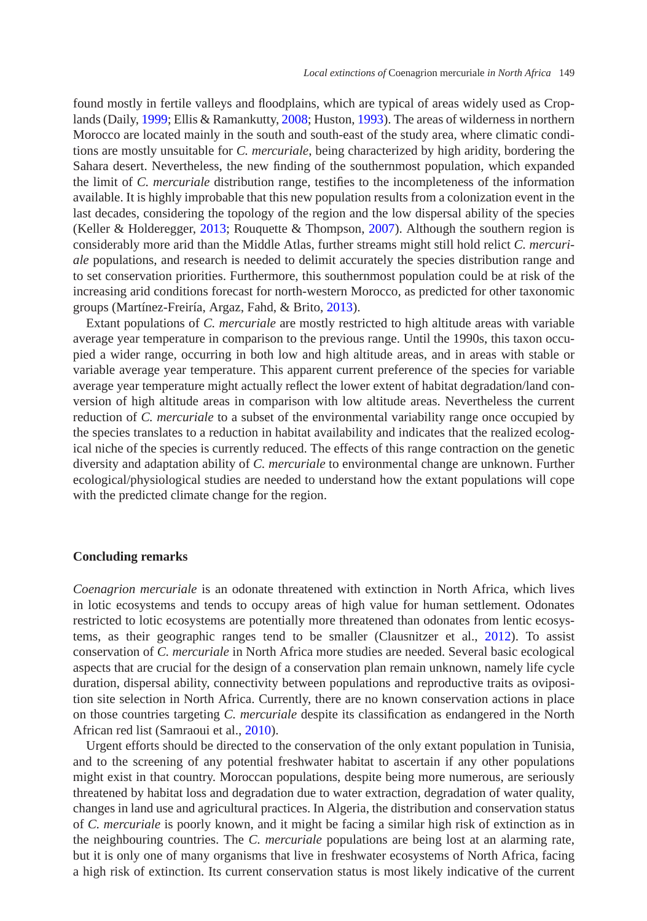found mostly in fertile valleys and floodplains, which are typical of areas widely used as Crop-lands (Daily, [1999;](#page-13-10) Ellis & Ramankutty, [2008;](#page-14-3) Huston, [1993\)](#page-14-21). The areas of wilderness in northern Morocco are located mainly in the south and south-east of the study area, where climatic conditions are mostly unsuitable for *C. mercuriale*, being characterized by high aridity, bordering the Sahara desert. Nevertheless, the new finding of the southernmost population, which expanded the limit of *C. mercuriale* distribution range, testifies to the incompleteness of the information available. It is highly improbable that this new population results from a colonization event in the last decades, considering the topology of the region and the low dispersal ability of the species (Keller & Holderegger, [2013;](#page-14-22) Rouquette & Thompson, [2007\)](#page-14-23). Although the southern region is considerably more arid than the Middle Atlas, further streams might still hold relict *C. mercuriale* populations, and research is needed to delimit accurately the species distribution range and to set conservation priorities. Furthermore, this southernmost population could be at risk of the increasing arid conditions forecast for north-western Morocco, as predicted for other taxonomic groups (Martínez-Freiría, Argaz, Fahd, & Brito, [2013\)](#page-14-24).

Extant populations of *C. mercuriale* are mostly restricted to high altitude areas with variable average year temperature in comparison to the previous range. Until the 1990s, this taxon occupied a wider range, occurring in both low and high altitude areas, and in areas with stable or variable average year temperature. This apparent current preference of the species for variable average year temperature might actually reflect the lower extent of habitat degradation/land conversion of high altitude areas in comparison with low altitude areas. Nevertheless the current reduction of *C. mercuriale* to a subset of the environmental variability range once occupied by the species translates to a reduction in habitat availability and indicates that the realized ecological niche of the species is currently reduced. The effects of this range contraction on the genetic diversity and adaptation ability of *C. mercuriale* to environmental change are unknown. Further ecological/physiological studies are needed to understand how the extant populations will cope with the predicted climate change for the region.

#### **Concluding remarks**

*Coenagrion mercuriale* is an odonate threatened with extinction in North Africa, which lives in lotic ecosystems and tends to occupy areas of high value for human settlement. Odonates restricted to lotic ecosystems are potentially more threatened than odonates from lentic ecosystems, as their geographic ranges tend to be smaller (Clausnitzer et al., [2012\)](#page-13-11). To assist conservation of *C. mercuriale* in North Africa more studies are needed. Several basic ecological aspects that are crucial for the design of a conservation plan remain unknown, namely life cycle duration, dispersal ability, connectivity between populations and reproductive traits as oviposition site selection in North Africa. Currently, there are no known conservation actions in place on those countries targeting *C. mercuriale* despite its classification as endangered in the North African red list (Samraoui et al., [2010\)](#page-14-7).

Urgent efforts should be directed to the conservation of the only extant population in Tunisia, and to the screening of any potential freshwater habitat to ascertain if any other populations might exist in that country. Moroccan populations, despite being more numerous, are seriously threatened by habitat loss and degradation due to water extraction, degradation of water quality, changes in land use and agricultural practices. In Algeria, the distribution and conservation status of *C. mercuriale* is poorly known, and it might be facing a similar high risk of extinction as in the neighbouring countries. The *C. mercuriale* populations are being lost at an alarming rate, but it is only one of many organisms that live in freshwater ecosystems of North Africa, facing a high risk of extinction. Its current conservation status is most likely indicative of the current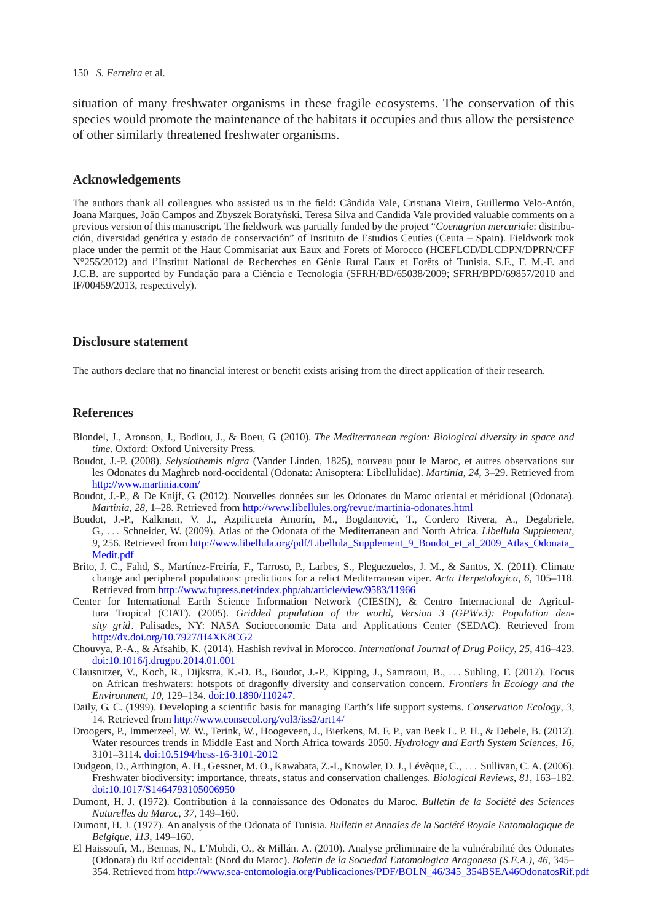#### 150 *S. Ferreira* et al.

situation of many freshwater organisms in these fragile ecosystems. The conservation of this species would promote the maintenance of the habitats it occupies and thus allow the persistence of other similarly threatened freshwater organisms.

#### **Acknowledgements**

The authors thank all colleagues who assisted us in the field: Cândida Vale, Cristiana Vieira, Guillermo Velo-Antón, Joana Marques, João Campos and Zbyszek Boratyński. Teresa Silva and Candida Vale provided valuable comments on a previous version of this manuscript. The fieldwork was partially funded by the project "*Coenagrion mercuriale*: distribución, diversidad genética y estado de conservación" of Instituto de Estudios Ceutíes (Ceuta – Spain). Fieldwork took place under the permit of the Haut Commisariat aux Eaux and Forets of Morocco (HCEFLCD/DLCDPN/DPRN/CFF N°255/2012) and l'Institut National de Recherches en Génie Rural Eaux et Forêts of Tunisia. S.F., F. M.-F. and J.C.B. are supported by Fundação para a Ciência e Tecnologia (SFRH/BD/65038/2009; SFRH/BPD/69857/2010 and IF/00459/2013, respectively).

#### **Disclosure statement**

The authors declare that no financial interest or benefit exists arising from the direct application of their research.

### **References**

- <span id="page-13-2"></span>Blondel, J., Aronson, J., Bodiou, J., & Boeu, G. (2010). *The Mediterranean region: Biological diversity in space and time*. Oxford: Oxford University Press.
- Boudot, J.-P. (2008). *Selysiothemis nigra* (Vander Linden, 1825), nouveau pour le Maroc, et autres observations sur les Odonates du Maghreb nord-occidental (Odonata: Anisoptera: Libellulidae). *Martinia*, *24*, 3–29. Retrieved from <http://www.martinia.com/>
- <span id="page-13-4"></span>Boudot, J.-P., & De Knijf, G. (2012). Nouvelles données sur les Odonates du Maroc oriental et méridional (Odonata). *Martinia*, *28*, 1–28. Retrieved from <http://www.libellules.org/revue/martinia-odonates.html>
- <span id="page-13-5"></span>Boudot, J.-P., Kalkman, V. J., Azpilicueta Amorín, M., Bogdanovic, T., Cordero Rivera, A., Degabriele, ´ G., *...* Schneider, W. (2009). Atlas of the Odonata of the Mediterranean and North Africa. *Libellula Supplement*, 9, 256. Retrieved from [http://www.libellula.org/pdf/Libellula\\_Supplement\\_9\\_Boudot\\_et\\_al\\_2009\\_Atlas\\_Odonata\\_](http://www.libellula.org/pdf/Libellula_Supplement_9_Boudot_et_al_2009_Atlas_Odonata_Medit.pdf) [Medit.pdf](http://www.libellula.org/pdf/Libellula_Supplement_9_Boudot_et_al_2009_Atlas_Odonata_Medit.pdf)
- <span id="page-13-8"></span>Brito, J. C., Fahd, S., Martínez-Freiría, F., Tarroso, P., Larbes, S., Pleguezuelos, J. M., & Santos, X. (2011). Climate change and peripheral populations: predictions for a relict Mediterranean viper. *Acta Herpetologica*, *6*, 105–118. Retrieved from <http://www.fupress.net/index.php/ah/article/view/9583/11966>
- <span id="page-13-7"></span>Center for International Earth Science Information Network (CIESIN), & Centro Internacional de Agricultura Tropical (CIAT). (2005). *Gridded population of the world, Version 3 (GPWv3): Population density grid*. Palisades, NY: NASA Socioeconomic Data and Applications Center (SEDAC). Retrieved from <http://dx.doi.org/10.7927/H4XK8CG2>
- <span id="page-13-9"></span>Chouvya, P.-A., & Afsahib, K. (2014). Hashish revival in Morocco. *International Journal of Drug Policy*, *25*, 416–423. [doi:10.1016/j.drugpo.2014.01.001](http://dx.doi.org/10.1016/j.drugpo.2014.01.001)
- <span id="page-13-11"></span>Clausnitzer, V., Koch, R., Dijkstra, K.-D. B., Boudot, J.-P., Kipping, J., Samraoui, B., *...* Suhling, F. (2012). Focus on African freshwaters: hotspots of dragonfly diversity and conservation concern. *Frontiers in Ecology and the Environment*, *10*, 129–134. [doi:10.1890/110247.](http://dx.doi.org/10.1890/110247)
- <span id="page-13-10"></span>Daily, G. C. (1999). Developing a scientific basis for managing Earth's life support systems. *Conservation Ecology*, *3*, 14. Retrieved from <http://www.consecol.org/vol3/iss2/art14/>
- <span id="page-13-1"></span>Droogers, P., Immerzeel, W. W., Terink, W., Hoogeveen, J., Bierkens, M. F. P., van Beek L. P. H., & Debele, B. (2012). Water resources trends in Middle East and North Africa towards 2050. *Hydrology and Earth System Sciences*, *16*, 3101–3114. [doi:10.5194/hess-16-3101-2012](http://dx.doi.org/10.5194/hess-16-3101-2012)
- <span id="page-13-0"></span>Dudgeon, D., Arthington, A. H., Gessner, M. O., Kawabata, Z.-I., Knowler, D. J., Lévêque, C., *...* Sullivan, C. A. (2006). Freshwater biodiversity: importance, threats, status and conservation challenges. *Biological Reviews*, *81*, 163–182. [doi:10.1017/S1464793105006950](http://dx.doi.org/10.1017/S1464793105006950)
- Dumont, H. J. (1972). Contribution à la connaissance des Odonates du Maroc. *Bulletin de la Société des Sciences Naturelles du Maroc*, *37*, 149–160.
- <span id="page-13-6"></span>Dumont, H. J. (1977). An analysis of the Odonata of Tunisia. *Bulletin et Annales de la Société Royale Entomologique de Belgique*, *113*, 149–160.
- <span id="page-13-3"></span>El Haissoufi, M., Bennas, N., L'Mohdi, O., & Millán. A. (2010). Analyse préliminaire de la vulnérabilité des Odonates (Odonata) du Rif occidental: (Nord du Maroc). *Boletin de la Sociedad Entomologica Aragonesa (S.E.A.)*, *46*, 345– 354. Retrieved from [http://www.sea-entomologia.org/Publicaciones/PDF/BOLN\\_46/345\\_354BSEA46OdonatosRif.pdf](http://www.sea-entomologia.org/Publicaciones/PDF/BOLN_46/345_354BSEA46OdonatosRif.pdf)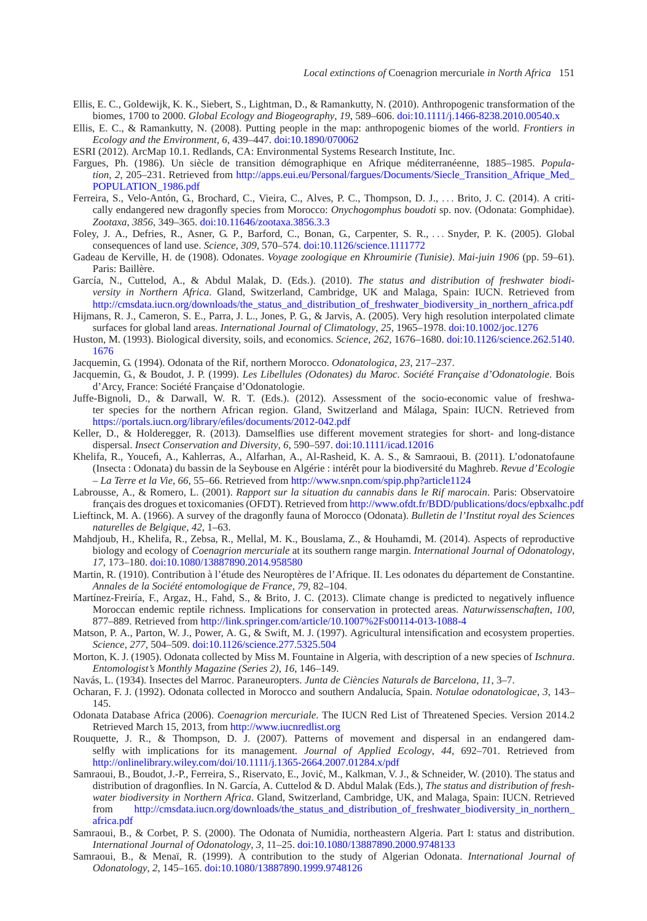- <span id="page-14-0"></span>Ellis, E. C., Goldewijk, K. K., Siebert, S., Lightman, D., & Ramankutty, N. (2010). Anthropogenic transformation of the biomes, 1700 to 2000. *Global Ecology and Biogeography*, *19*, 589–606. [doi:10.1111/j.1466-8238.2010.00540.x](http://dx.doi.org/10.1111/j.1466-8238.2010.00540.x)
- <span id="page-14-3"></span>Ellis, E. C., & Ramankutty, N. (2008). Putting people in the map: anthropogenic biomes of the world. *Frontiers in Ecology and the Environment*, *6*, 439–447. [doi:10.1890/070062](http://dx.doi.org/10.1890/070062)
- ESRI (2012). ArcMap 10.1. Redlands, CA: Environmental Systems Research Institute, Inc.
- <span id="page-14-16"></span><span id="page-14-4"></span>Fargues, Ph. (1986). Un siècle de transition démographique en Afrique méditerranéenne, 1885–1985. *Population*, 2, 205–231. Retrieved from [http://apps.eui.eu/Personal/fargues/Documents/Siecle\\_Transition\\_Afrique\\_Med\\_](http://apps.eui.eu/Personal/fargues/Documents/Siecle_Transition_Afrique_Med_POPULATION_1986.pdf) [POPULATION\\_1986.pdf](http://apps.eui.eu/Personal/fargues/Documents/Siecle_Transition_Afrique_Med_POPULATION_1986.pdf)
- <span id="page-14-19"></span>Ferreira, S., Velo-Antón, G., Brochard, C., Vieira, C., Alves, P. C., Thompson, D. J., *...* Brito, J. C. (2014). A critically endangered new dragonfly species from Morocco: *Onychogomphus boudoti* sp. nov. (Odonata: Gomphidae). *Zootaxa*, *3856*, 349–365. [doi:10.11646/zootaxa.3856.3.3](http://dx.doi.org/10.11646/zootaxa.3856.3.3)
- <span id="page-14-1"></span>Foley, J. A., Defries, R., Asner, G. P., Barford, C., Bonan, G., Carpenter, S. R., *...* Snyder, P. K. (2005). Global consequences of land use. *Science*, *309*, 570–574. [doi:10.1126/science.1111772](http://dx.doi.org/10.1126/science.1111772)
- <span id="page-14-9"></span>Gadeau de Kerville, H. de (1908). Odonates. *Voyage zoologique en Khroumirie (Tunisie)*. *Mai-juin 1906* (pp. 59–61). Paris: Baillère.
- <span id="page-14-5"></span>García, N., Cuttelod, A., & Abdul Malak, D. (Eds.). (2010). *The status and distribution of freshwater biodiversity in Northern Africa*. Gland, Switzerland, Cambridge, UK and Malaga, Spain: IUCN. Retrieved from [http://cmsdata.iucn.org/downloads/the\\_status\\_and\\_distribution\\_of\\_freshwater\\_biodiversity\\_in\\_northern\\_africa.pdf](http://cmsdata.iucn.org/downloads/the_status_and_distribution_of_freshwater_biodiversity_in_northern_africa.pdf)
- <span id="page-14-17"></span>Hijmans, R. J., Cameron, S. E., Parra, J. L., Jones, P. G., & Jarvis, A. (2005). Very high resolution interpolated climate surfaces for global land areas. *International Journal of Climatology*, *25*, 1965–1978. [doi:10.1002/joc.1276](http://dx.doi.org/10.1002/joc.1276)
- <span id="page-14-21"></span>Huston, M. (1993). Biological diversity, soils, and economics. *Science*, *262*, 1676–1680. [doi:10.1126/science.262.5140.](http://dx.doi.org/10.1126/science.262.5140.1676) [1676](http://dx.doi.org/10.1126/science.262.5140.1676)
- Jacquemin, G. (1994). Odonata of the Rif, northern Morocco. *Odonatologica*, *23*, 217–237.
- <span id="page-14-8"></span>Jacquemin, G., & Boudot, J. P. (1999). *Les Libellules (Odonates) du Maroc. Société Française d'Odonatologie*. Bois d'Arcy, France: Société Française d'Odonatologie.
- <span id="page-14-6"></span>Juffe-Bignoli, D., & Darwall, W. R. T. (Eds.). (2012). Assessment of the socio-economic value of freshwater species for the northern African region. Gland, Switzerland and Málaga, Spain: IUCN. Retrieved from <https://portals.iucn.org/library/efiles/documents/2012-042.pdf>
- <span id="page-14-22"></span>Keller, D., & Holderegger, R. (2013). Damselflies use different movement strategies for short- and long-distance dispersal. *Insect Conservation and Diversity*, *6*, 590–597. [doi:10.1111/icad.12016](http://dx.doi.org/10.1111/icad.12016)
- <span id="page-14-10"></span>Khelifa, R., Youcefi, A., Kahlerras, A., Alfarhan, A., Al-Rasheid, K. A. S., & Samraoui, B. (2011). L'odonatofaune (Insecta : Odonata) du bassin de la Seybouse en Algérie : intérêt pour la biodiversité du Maghreb. *Revue d'Ecologie – La Terre et la Vie*, *66*, 55–66. Retrieved from <http://www.snpn.com/spip.php?article1124>
- <span id="page-14-20"></span>Labrousse, A., & Romero, L. (2001). *Rapport sur la situation du cannabis dans le Rif marocain*. Paris: Observatoire français des drogues et toxicomanies (OFDT). Retrieved from <http://www.ofdt.fr/BDD/publications/docs/epbxalhc.pdf>
- Lieftinck, M. A. (1966). A survey of the dragonfly fauna of Morocco (Odonata). *Bulletin de l'Institut royal des Sciences naturelles de Belgique*, *42*, 1–63.
- <span id="page-14-11"></span>Mahdjoub, H., Khelifa, R., Zebsa, R., Mellal, M. K., Bouslama, Z., & Houhamdi, M. (2014). Aspects of reproductive biology and ecology of *Coenagrion mercuriale* at its southern range margin. *International Journal of Odonatology*, *17*, 173–180. [doi:10.1080/13887890.2014.958580](http://dx.doi.org/10.1080/13887890.2014.958580)
- <span id="page-14-12"></span>Martin, R. (1910). Contribution à l'étude des Neuroptères de l'Afrique. II. Les odonates du département de Constantine. *Annales de la Société entomologique de France*, *79*, 82–104.
- <span id="page-14-24"></span>Martínez-Freiría, F., Argaz, H., Fahd, S., & Brito, J. C. (2013). Climate change is predicted to negatively influence Moroccan endemic reptile richness. Implications for conservation in protected areas. *Naturwissenschaften*, *100*, 877–889. Retrieved from <http://link.springer.com/article/10.1007%2Fs00114-013-1088-4>
- <span id="page-14-2"></span>Matson, P. A., Parton, W. J., Power, A. G., & Swift, M. J. (1997). Agricultural intensification and ecosystem properties. *Science*, *277*, 504–509. [doi:10.1126/science.277.5325.504](http://dx.doi.org/10.1126/science.277.5325.504)
- <span id="page-14-13"></span>Morton, K. J. (1905). Odonata collected by Miss M. Fountaine in Algeria, with description of a new species of *Ischnura*. *Entomologist's Monthly Magazine (Series 2)*, *16*, 146–149.
- Navás, L. (1934). Insectes del Marroc. Paraneuropters. *Junta de Ciències Naturals de Barcelona*, *11*, 3–7.
- Ocharan, F. J. (1992). Odonata collected in Morocco and southern Andalucía, Spain. *Notulae odonatologicae*, *3*, 143– 145.
- <span id="page-14-18"></span>Odonata Database Africa (2006). *Coenagrion mercuriale*. The IUCN Red List of Threatened Species. Version 2014.2 Retrieved March 15, 2013, from <http://www.iucnredlist.org>
- <span id="page-14-23"></span>Rouquette, J. R., & Thompson, D. J. (2007). Patterns of movement and dispersal in an endangered damselfly with implications for its management. *Journal of Applied Ecology*, *44*, 692–701. Retrieved from <http://onlinelibrary.wiley.com/doi/10.1111/j.1365-2664.2007.01284.x/pdf>
- <span id="page-14-7"></span>Samraoui, B., Boudot, J.-P., Ferreira, S., Riservato, E., Jovic, M., Kalkman, V. J., & Schneider, W. (2010). The status and ´ distribution of dragonflies. In N. García, A. Cuttelod & D. Abdul Malak (Eds.), *The status and distribution of freshwater biodiversity in Northern Africa*. Gland, Switzerland, Cambridge, UK, and Malaga, Spain: IUCN. Retrieved from [http://cmsdata.iucn.org/downloads/the\\_status\\_and\\_distribution\\_of\\_freshwater\\_biodiversity\\_in\\_northern\\_](http://cmsdata.iucn.org/downloads/the_status_and_distribution_of_freshwater_biodiversity_in_northern_africa.pdf) [africa.pdf](http://cmsdata.iucn.org/downloads/the_status_and_distribution_of_freshwater_biodiversity_in_northern_africa.pdf)
- <span id="page-14-14"></span>Samraoui, B., & Corbet, P. S. (2000). The Odonata of Numidia, northeastern Algeria. Part I: status and distribution. *International Journal of Odonatology*, *3*, 11–25. [doi:10.1080/13887890.2000.9748133](http://dx.doi.org/10.1080/13887890.2000.9748133)
- <span id="page-14-15"></span>Samraoui, B., & Menaï, R. (1999). A contribution to the study of Algerian Odonata. *International Journal of Odonatology*, *2*, 145–165. [doi:10.1080/13887890.1999.9748126](http://dx.doi.org/10.1080/13887890.1999.9748126)